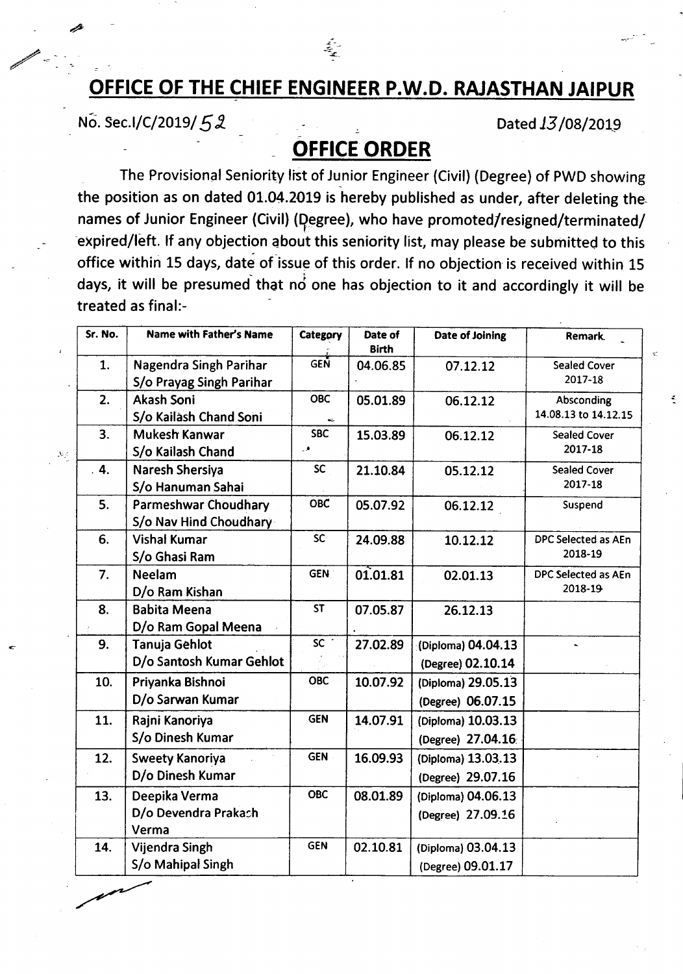## **OFFICE OF THE CHIEF ENGINEER P.W.D. RAJASTHAN JAIPUR**

سنج<br>مح

No. Sec.I/C/2019/52

 $\mathcal{N}_\gamma$ 

Dated 13/08/2019

 $\frac{3}{4}$ 

## **OFFICE ORDER**

The Provisional Seniority list of Junior Engineer (Civil) (Degree) of PWD showing the position as on dated  $01.04.2019$  is hereby published as under, after deleting thenames of Junior Engineer (Civil) (Degree), who have promoted/resigned/terminated/ expired/left. If any objection about this seniority list, may please be submitted to this office within 15 days, date of issue of this order. If no objection is received within 15 days, it will be presumed that  $n\dot{o}$  one has objection to it and accordingly it will be treated as final:-

| Sr. No. | <b>Name with Father's Name</b> | Category        | Date of<br><b>Birth</b> | Date of Joining    | Remark.              |
|---------|--------------------------------|-----------------|-------------------------|--------------------|----------------------|
| 1.      | Nagendra Singh Parihar         | <b>GEN</b>      | 04.06.85                | 07.12.12           | <b>Sealed Cover</b>  |
|         | S/o Prayag Singh Parihar       |                 |                         |                    | 2017-18              |
| 2.      | <b>Akash Soni</b>              | <b>OBC</b>      | 05.01.89                | 06.12.12           | Absconding           |
|         | S/o Kailash Chand Soni         |                 |                         |                    | 14.08.13 to 14.12.15 |
| 3.      | Mukesh Kanwar                  | <b>SBC</b>      | 15.03.89                | 06.12.12           | <b>Sealed Cover</b>  |
|         | S/o Kailash Chand              | ٥.              |                         |                    | 2017-18              |
| 4.      | Naresh Shersiya                | <b>SC</b>       | 21.10.84                | 05.12.12           | <b>Sealed Cover</b>  |
|         | S/o Hanuman Sahai              |                 |                         |                    | 2017-18              |
| 5.      | Parmeshwar Choudhary           | <b>OBC</b>      | 05.07.92                | 06.12.12           | Suspend              |
|         | S/o Nav Hind Choudhary         |                 |                         |                    |                      |
| 6.      | <b>Vishal Kumar</b>            | <b>SC</b>       | 24.09.88                | 10.12.12           | DPC Selected as AEn  |
|         | S/o Ghasi Ram                  |                 |                         |                    | 2018-19              |
| 7.      | <b>Neelam</b>                  | <b>GEN</b>      | 01.01.81                | 02.01.13           | DPC Selected as AEn  |
|         | D/o Ram Kishan                 |                 |                         |                    | 2018-19              |
| 8.      | <b>Babita Meena</b>            | <b>ST</b>       | 07.05.87                | 26.12.13           |                      |
|         | D/o Ram Gopal Meena            |                 |                         |                    |                      |
| 9.      | <b>Tanuja Gehlot</b>           | sc <sup>3</sup> | 27.02.89                | (Diploma) 04.04.13 |                      |
|         | D/o Santosh Kumar Gehlot       |                 |                         | (Degree) 02.10.14  |                      |
| 10.     | Priyanka Bishnoi               | <b>OBC</b>      | 10.07.92                | (Diploma) 29.05.13 |                      |
|         | D/o Sarwan Kumar               |                 |                         | (Degree) 06.07.15  |                      |
| 11.     | Rajni Kanoriya                 | <b>GEN</b>      | 14.07.91                | (Diploma) 10.03.13 |                      |
|         | S/o Dinesh Kumar               |                 |                         | (Degree) 27.04.16  |                      |
| 12.     | <b>Sweety Kanoriya</b>         | <b>GEN</b>      | 16.09.93                | (Diploma) 13.03.13 |                      |
|         | D/o Dinesh Kumar               |                 |                         | (Degree) 29.07.16  |                      |
| 13.     | Deepika Verma                  | <b>OBC</b>      | 08.01.89                | (Diploma) 04.06.13 |                      |
|         | D/o Devendra Prakach<br>Verma  |                 |                         | (Degree) 27.09.16  |                      |
| 14.     | Vijendra Singh                 | <b>GEN</b>      | 02.10.81                | (Diploma) 03.04.13 |                      |
|         | S/o Mahipal Singh              |                 |                         | (Degree) 09.01.17  |                      |